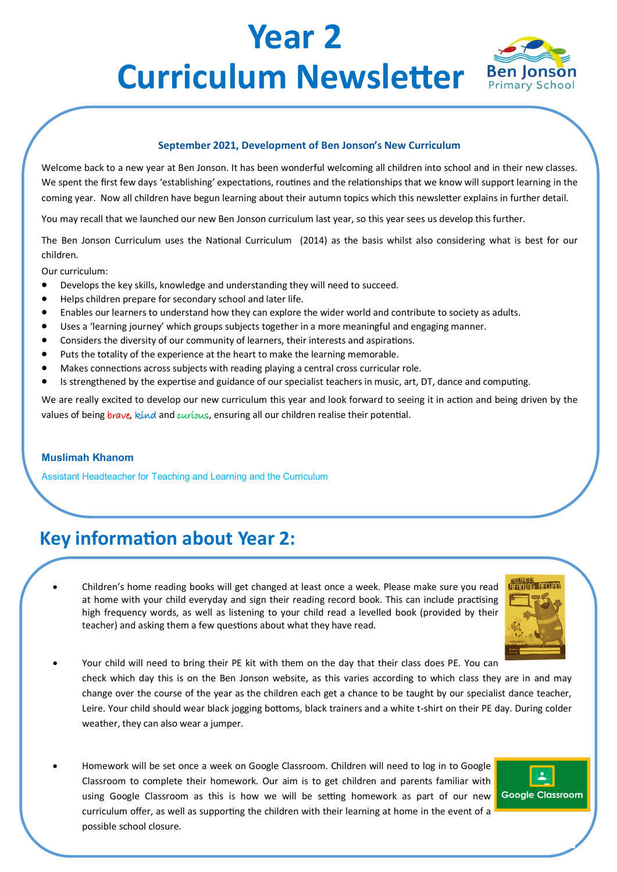# **Year 2**  Curriculum Newsletter Ben Jonson



#### **September 2021, Development of Ben Jonson's New Curriculum**

Welcome back to a new year at Ben Jonson. It has been wonderful welcoming all children into school and in their new classes. We spent the first few days 'establishing' expectations, routines and the relationships that we know will support learning in the coming year. Now all children have begun learning about their autumn topics which this newsletter explains in further detail.

You may recall that we launched our new Ben Jonson curriculum last year, so this year sees us develop this further.

The Ben Jonson Curriculum uses the National Curriculum (2014) as the basis whilst also considering what is best for our children.

Our curriculum:

- Develops the key skills, knowledge and understanding they will need to succeed.
- Helps children prepare for secondary school and later life.
- Enables our learners to understand how they can explore the wider world and contribute to society as adults.
- Uses a 'learning journey' which groups subjects together in a more meaningful and engaging manner.
- Considers the diversity of our community of learners, their interests and aspirations.
- Puts the totality of the experience at the heart to make the learning memorable.
- Makes connections across subjects with reading playing a central cross curricular role.
- Is strengthened by the expertise and guidance of our specialist teachers in music, art, DT, dance and computing.

We are really excited to develop our new curriculum this year and look forward to seeing it in action and being driven by the values of being brave, kind and curious, ensuring all our children realise their potential.

#### **Muslimah Khanom**

Assistant Headteacher for Teaching and Learning and the Curriculum

### **Key information about Year 2:**

• Children's home reading books will get changed at least once a week. Please make sure you read at home with your child everyday and sign their reading record book. This can include practising high frequency words, as well as listening to your child read a levelled book (provided by their teacher) and asking them a few questions about what they have read.



- Your child will need to bring their PE kit with them on the day that their class does PE. You can check which day this is on the Ben Jonson website, as this varies according to which class they are in and may change over the course of the year as the children each get a chance to be taught by our specialist dance teacher, Leire. Your child should wear black jogging bottoms, black trainers and a white t-shirt on their PE day. During colder weather, they can also wear a jumper.
- Homework will be set once a week on Google Classroom. Children will need to log in to Google Classroom to complete their homework. Our aim is to get children and parents familiar with using Google Classroom as this is how we will be setting homework as part of our new curriculum offer, as well as supporting the children with their learning at home in the event of a possible school closure.